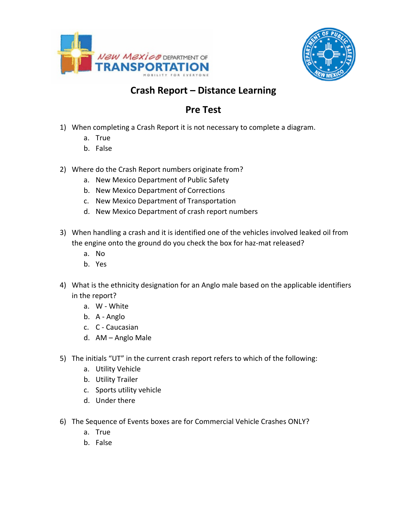



## **Crash Report – Distance Learning**

## **Pre Test**

- 1) When completing a Crash Report it is not necessary to complete a diagram.
	- a. True
	- b. False
- 2) Where do the Crash Report numbers originate from?
	- a. New Mexico Department of Public Safety
	- b. New Mexico Department of Corrections
	- c. New Mexico Department of Transportation
	- d. New Mexico Department of crash report numbers
- 3) When handling a crash and it is identified one of the vehicles involved leaked oil from the engine onto the ground do you check the box for haz-mat released?
	- a. No
	- b. Yes
- 4) What is the ethnicity designation for an Anglo male based on the applicable identifiers in the report?
	- a. W White
	- b. A Anglo
	- c. C Caucasian
	- d. AM Anglo Male
- 5) The initials "UT" in the current crash report refers to which of the following:
	- a. Utility Vehicle
	- b. Utility Trailer
	- c. Sports utility vehicle
	- d. Under there
- 6) The Sequence of Events boxes are for Commercial Vehicle Crashes ONLY?
	- a. True
	- b. False